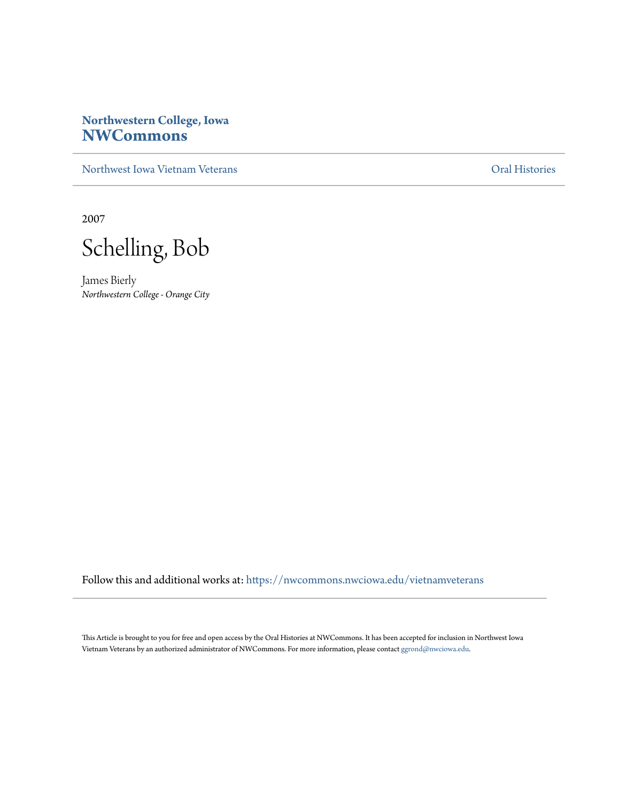## **Northwestern College, Iowa [NWCommons](https://nwcommons.nwciowa.edu?utm_source=nwcommons.nwciowa.edu%2Fvietnamveterans%2F4&utm_medium=PDF&utm_campaign=PDFCoverPages)**

[Northwest Iowa Vietnam Veterans](https://nwcommons.nwciowa.edu/vietnamveterans?utm_source=nwcommons.nwciowa.edu%2Fvietnamveterans%2F4&utm_medium=PDF&utm_campaign=PDFCoverPages) [Oral Histories](https://nwcommons.nwciowa.edu/oralhistories?utm_source=nwcommons.nwciowa.edu%2Fvietnamveterans%2F4&utm_medium=PDF&utm_campaign=PDFCoverPages)

2007

Schelling, Bob

James Bierly *Northwestern College - Orange City*

Follow this and additional works at: [https://nwcommons.nwciowa.edu/vietnamveterans](https://nwcommons.nwciowa.edu/vietnamveterans?utm_source=nwcommons.nwciowa.edu%2Fvietnamveterans%2F4&utm_medium=PDF&utm_campaign=PDFCoverPages)

This Article is brought to you for free and open access by the Oral Histories at NWCommons. It has been accepted for inclusion in Northwest Iowa Vietnam Veterans by an authorized administrator of NWCommons. For more information, please contact [ggrond@nwciowa.edu](mailto:ggrond@nwciowa.edu).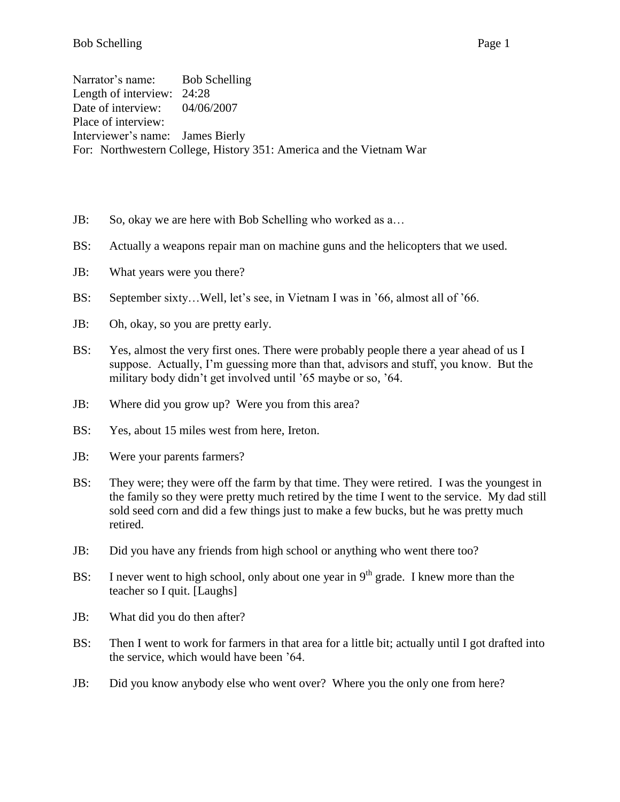Bob Schelling Page 1

Narrator's name: Bob Schelling Length of interview: 24:28 Date of interview: 04/06/2007 Place of interview: Interviewer's name: James Bierly For: Northwestern College, History 351: America and the Vietnam War

- JB: So, okay we are here with Bob Schelling who worked as a…
- BS: Actually a weapons repair man on machine guns and the helicopters that we used.
- JB: What years were you there?
- BS: September sixty…Well, let's see, in Vietnam I was in '66, almost all of '66.
- JB: Oh, okay, so you are pretty early.
- BS: Yes, almost the very first ones. There were probably people there a year ahead of us I suppose. Actually, I'm guessing more than that, advisors and stuff, you know. But the military body didn't get involved until '65 maybe or so, '64.
- JB: Where did you grow up? Were you from this area?
- BS: Yes, about 15 miles west from here, Ireton.
- JB: Were your parents farmers?
- BS: They were; they were off the farm by that time. They were retired. I was the youngest in the family so they were pretty much retired by the time I went to the service. My dad still sold seed corn and did a few things just to make a few bucks, but he was pretty much retired.
- JB: Did you have any friends from high school or anything who went there too?
- BS: I never went to high school, only about one year in  $9<sup>th</sup>$  grade. I knew more than the teacher so I quit. [Laughs]
- JB: What did you do then after?
- BS: Then I went to work for farmers in that area for a little bit; actually until I got drafted into the service, which would have been '64.
- JB: Did you know anybody else who went over? Where you the only one from here?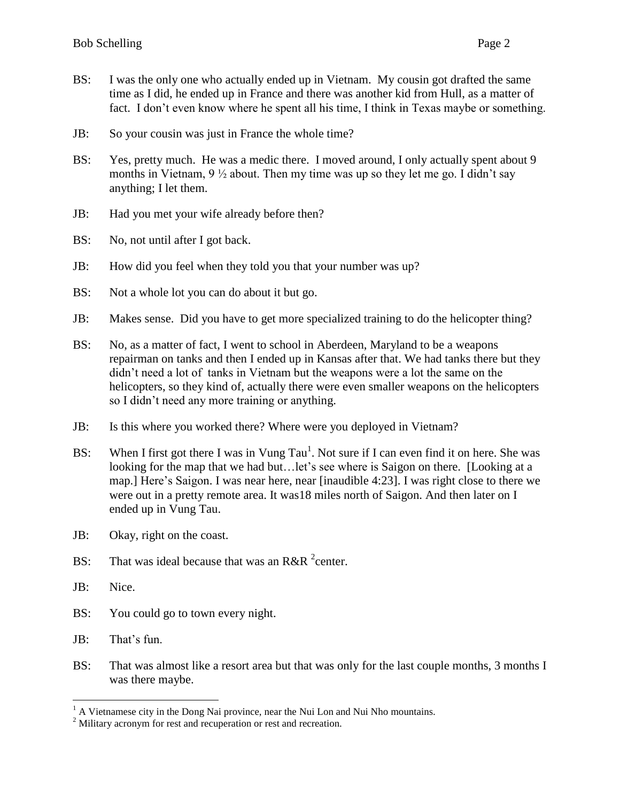- BS: I was the only one who actually ended up in Vietnam. My cousin got drafted the same time as I did, he ended up in France and there was another kid from Hull, as a matter of fact. I don't even know where he spent all his time, I think in Texas maybe or something.
- JB: So your cousin was just in France the whole time?
- BS: Yes, pretty much. He was a medic there. I moved around, I only actually spent about 9 months in Vietnam,  $9\frac{1}{2}$  about. Then my time was up so they let me go. I didn't say anything; I let them.
- JB: Had you met your wife already before then?
- BS: No, not until after I got back.
- JB: How did you feel when they told you that your number was up?
- BS: Not a whole lot you can do about it but go.
- JB: Makes sense. Did you have to get more specialized training to do the helicopter thing?
- BS: No, as a matter of fact, I went to school in Aberdeen, Maryland to be a weapons repairman on tanks and then I ended up in Kansas after that. We had tanks there but they didn't need a lot of tanks in Vietnam but the weapons were a lot the same on the helicopters, so they kind of, actually there were even smaller weapons on the helicopters so I didn't need any more training or anything.
- JB: Is this where you worked there? Where were you deployed in Vietnam?
- BS: When I first got there I was in Vung Tau<sup>1</sup>. Not sure if I can even find it on here. She was looking for the map that we had but... let's see where is Saigon on there. [Looking at a map.] Here's Saigon. I was near here, near [inaudible 4:23]. I was right close to there we were out in a pretty remote area. It was18 miles north of Saigon. And then later on I ended up in Vung Tau.
- JB: Okay, right on the coast.
- BS: That was ideal because that was an R&R  $^2$ center.
- JB: Nice.

- BS: You could go to town every night.
- JB: That's fun.
- BS: That was almost like a resort area but that was only for the last couple months, 3 months I was there maybe.

 $<sup>1</sup>$  A Vietnamese city in the Dong Nai province, near the Nui Lon and Nui Nho mountains.</sup>

<sup>&</sup>lt;sup>2</sup> Military acronym for rest and recuperation or rest and recreation.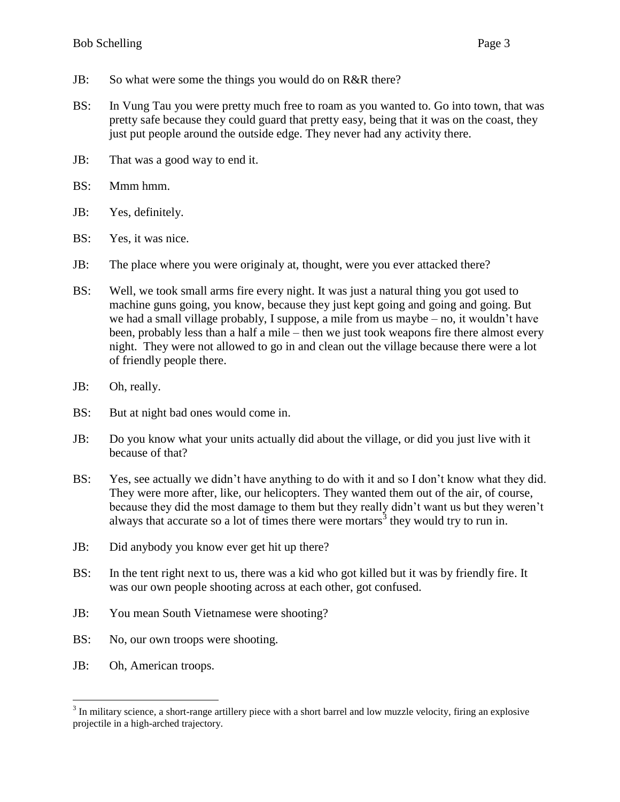- JB: So what were some the things you would do on R&R there?
- BS: In Vung Tau you were pretty much free to roam as you wanted to. Go into town, that was pretty safe because they could guard that pretty easy, being that it was on the coast, they just put people around the outside edge. They never had any activity there.
- JB: That was a good way to end it.
- BS: Mmm hmm.
- JB: Yes, definitely.
- BS: Yes, it was nice.
- JB: The place where you were originaly at, thought, were you ever attacked there?
- BS: Well, we took small arms fire every night. It was just a natural thing you got used to machine guns going, you know, because they just kept going and going and going. But we had a small village probably, I suppose, a mile from us maybe – no, it wouldn't have been, probably less than a half a mile – then we just took weapons fire there almost every night. They were not allowed to go in and clean out the village because there were a lot of friendly people there.
- JB: Oh, really.
- BS: But at night bad ones would come in.
- JB: Do you know what your units actually did about the village, or did you just live with it because of that?
- BS: Yes, see actually we didn't have anything to do with it and so I don't know what they did. They were more after, like, our helicopters. They wanted them out of the air, of course, because they did the most damage to them but they really didn't want us but they weren't always that accurate so a lot of times there were mortars<sup>3</sup> they would try to run in.
- JB: Did anybody you know ever get hit up there?
- BS: In the tent right next to us, there was a kid who got killed but it was by friendly fire. It was our own people shooting across at each other, got confused.
- JB: You mean South Vietnamese were shooting?
- BS: No, our own troops were shooting.
- JB: Oh, American troops.

 $3$  In military science, a short-range artillery piece with a short barrel and low muzzle velocity, firing an explosive projectile in a high-arched trajectory.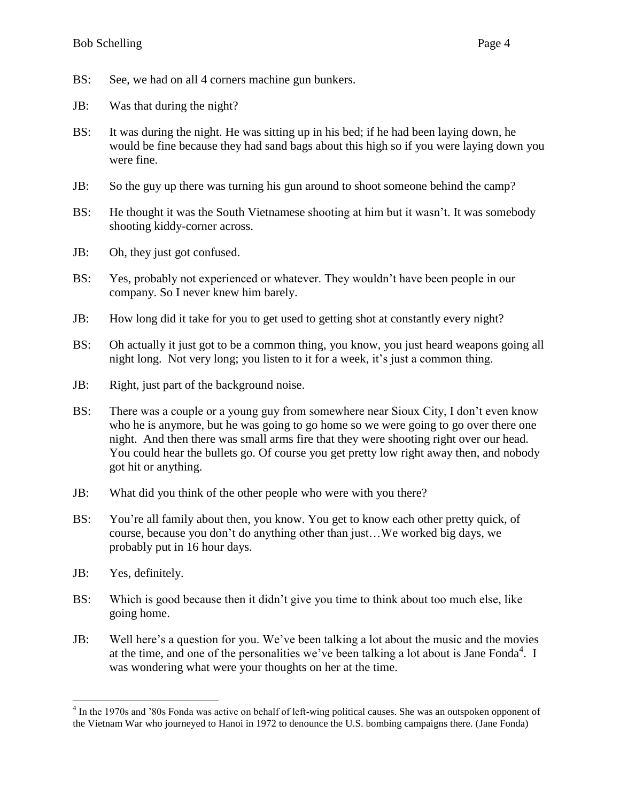- BS: See, we had on all 4 corners machine gun bunkers.
- JB: Was that during the night?
- BS: It was during the night. He was sitting up in his bed; if he had been laying down, he would be fine because they had sand bags about this high so if you were laying down you were fine.
- JB: So the guy up there was turning his gun around to shoot someone behind the camp?
- BS: He thought it was the South Vietnamese shooting at him but it wasn't. It was somebody shooting kiddy-corner across.
- JB: Oh, they just got confused.
- BS: Yes, probably not experienced or whatever. They wouldn't have been people in our company. So I never knew him barely.
- JB: How long did it take for you to get used to getting shot at constantly every night?
- BS: Oh actually it just got to be a common thing, you know, you just heard weapons going all night long. Not very long; you listen to it for a week, it's just a common thing.
- JB: Right, just part of the background noise.
- BS: There was a couple or a young guy from somewhere near Sioux City, I don't even know who he is anymore, but he was going to go home so we were going to go over there one night. And then there was small arms fire that they were shooting right over our head. You could hear the bullets go. Of course you get pretty low right away then, and nobody got hit or anything.
- JB: What did you think of the other people who were with you there?
- BS: You're all family about then, you know. You get to know each other pretty quick, of course, because you don't do anything other than just…We worked big days, we probably put in 16 hour days.
- JB: Yes, definitely.
- BS: Which is good because then it didn't give you time to think about too much else, like going home.
- JB: Well here's a question for you. We've been talking a lot about the music and the movies at the time, and one of the personalities we've been talking a lot about is Jane Fonda<sup>4</sup>. I was wondering what were your thoughts on her at the time.

 4 In the 1970s and '80s Fonda was active on behalf of left-wing political causes. She was an outspoken opponent of the Vietnam War who journeyed to Hanoi in 1972 to denounce the U.S. bombing campaigns there. (Jane Fonda)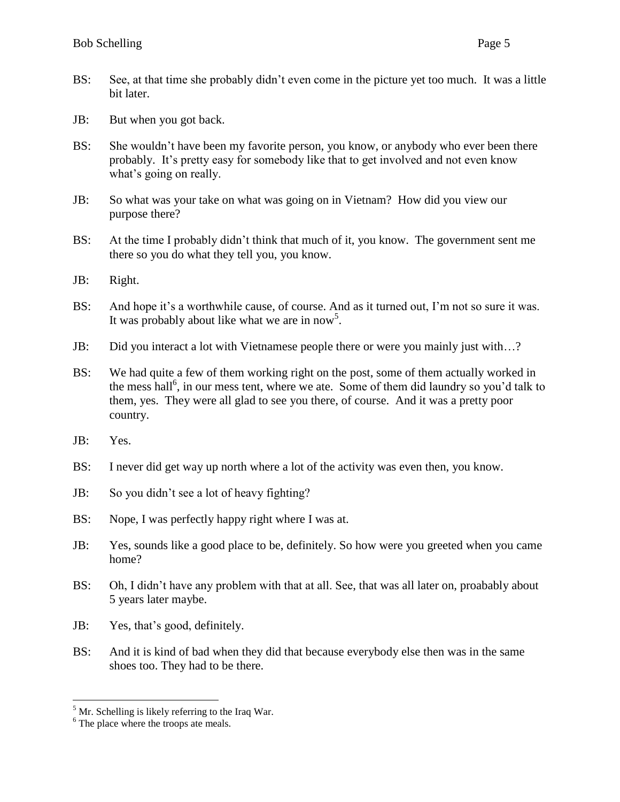- BS: See, at that time she probably didn't even come in the picture yet too much. It was a little bit later.
- JB: But when you got back.
- BS: She wouldn't have been my favorite person, you know, or anybody who ever been there probably. It's pretty easy for somebody like that to get involved and not even know what's going on really.
- JB: So what was your take on what was going on in Vietnam? How did you view our purpose there?
- BS: At the time I probably didn't think that much of it, you know. The government sent me there so you do what they tell you, you know.
- JB: Right.
- BS: And hope it's a worthwhile cause, of course. And as it turned out, I'm not so sure it was. It was probably about like what we are in now<sup>5</sup>.
- JB: Did you interact a lot with Vietnamese people there or were you mainly just with…?
- BS: We had quite a few of them working right on the post, some of them actually worked in the mess hall<sup>6</sup>, in our mess tent, where we ate. Some of them did laundry so you'd talk to them, yes. They were all glad to see you there, of course. And it was a pretty poor country.
- JB: Yes.

- BS: I never did get way up north where a lot of the activity was even then, you know.
- JB: So you didn't see a lot of heavy fighting?
- BS: Nope, I was perfectly happy right where I was at.
- JB: Yes, sounds like a good place to be, definitely. So how were you greeted when you came home?
- BS: Oh, I didn't have any problem with that at all. See, that was all later on, proabably about 5 years later maybe.
- JB: Yes, that's good, definitely.
- BS: And it is kind of bad when they did that because everybody else then was in the same shoes too. They had to be there.

 $<sup>5</sup>$  Mr. Schelling is likely referring to the Iraq War.</sup>

 $<sup>6</sup>$  The place where the troops ate meals.</sup>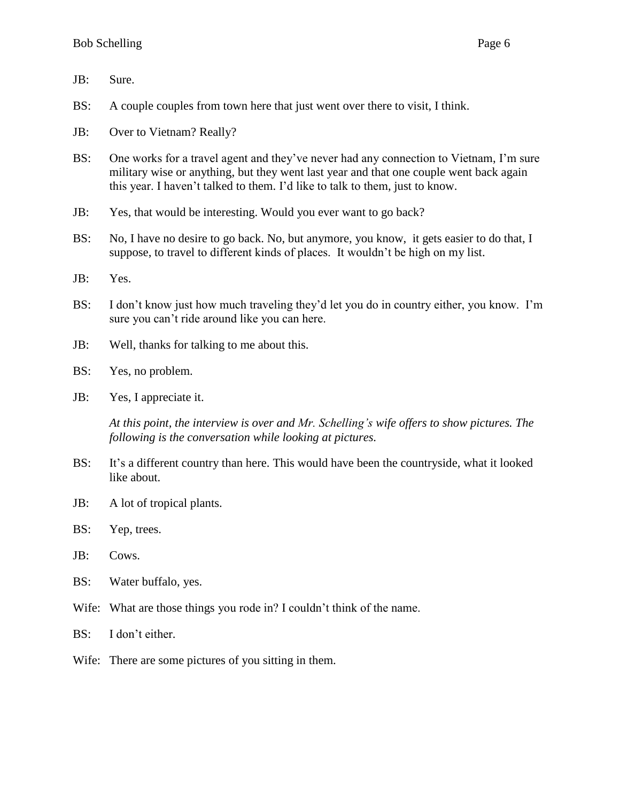- JB: Sure.
- BS: A couple couples from town here that just went over there to visit, I think.
- JB: Over to Vietnam? Really?
- BS: One works for a travel agent and they've never had any connection to Vietnam, I'm sure military wise or anything, but they went last year and that one couple went back again this year. I haven't talked to them. I'd like to talk to them, just to know.
- JB: Yes, that would be interesting. Would you ever want to go back?
- BS: No, I have no desire to go back. No, but anymore, you know, it gets easier to do that, I suppose, to travel to different kinds of places. It wouldn't be high on my list.
- JB: Yes.
- BS: I don't know just how much traveling they'd let you do in country either, you know. I'm sure you can't ride around like you can here.
- JB: Well, thanks for talking to me about this.
- BS: Yes, no problem.
- JB: Yes, I appreciate it.

*At this point, the interview is over and Mr. Schelling's wife offers to show pictures. The following is the conversation while looking at pictures.*

- BS: It's a different country than here. This would have been the countryside, what it looked like about.
- JB: A lot of tropical plants.
- BS: Yep, trees.
- JB: Cows.
- BS: Water buffalo, yes.
- Wife: What are those things you rode in? I couldn't think of the name.
- BS: I don't either.
- Wife: There are some pictures of you sitting in them.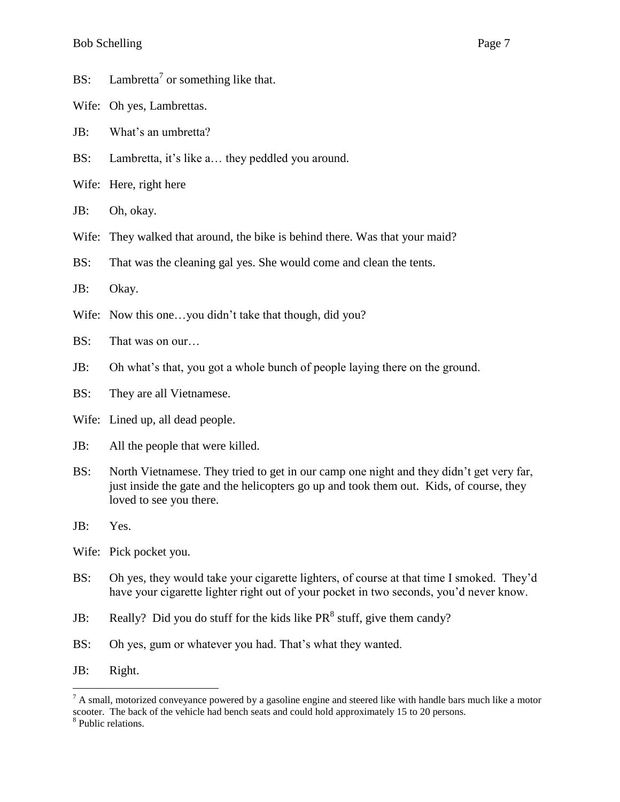- BS: Lambretta<sup>7</sup> or something like that.
- Wife: Oh yes, Lambrettas.
- JB: What's an umbretta?
- BS: Lambretta, it's like a… they peddled you around.
- Wife: Here, right here
- JB: Oh, okay.
- Wife: They walked that around, the bike is behind there. Was that your maid?
- BS: That was the cleaning gal yes. She would come and clean the tents.
- JB: Okay.
- Wife: Now this one...you didn't take that though, did you?
- BS: That was on our…
- JB: Oh what's that, you got a whole bunch of people laying there on the ground.
- BS: They are all Vietnamese.
- Wife: Lined up, all dead people.
- JB: All the people that were killed.
- BS: North Vietnamese. They tried to get in our camp one night and they didn't get very far, just inside the gate and the helicopters go up and took them out. Kids, of course, they loved to see you there.
- JB: Yes.
- Wife: Pick pocket you.
- BS: Oh yes, they would take your cigarette lighters, of course at that time I smoked. They'd have your cigarette lighter right out of your pocket in two seconds, you'd never know.
- JB: Really? Did you do stuff for the kids like  $PR<sup>8</sup>$  stuff, give them candy?
- BS: Oh yes, gum or whatever you had. That's what they wanted.
- JB: Right.

 $<sup>7</sup>$  A small, motorized conveyance powered by a gasoline engine and steered like with handle bars much like a motor</sup> scooter. The back of the vehicle had bench seats and could hold approximately 15 to 20 persons.

<sup>&</sup>lt;sup>8</sup> Public relations.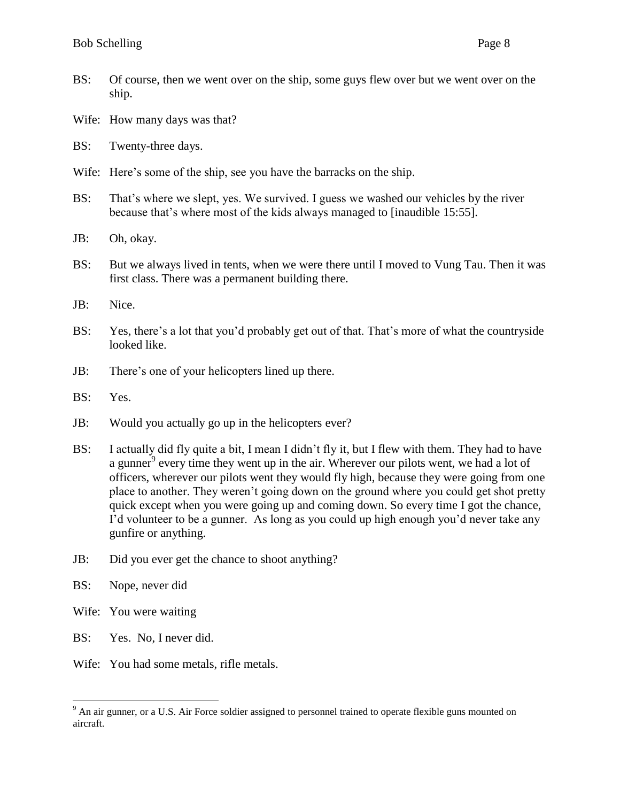- BS: Of course, then we went over on the ship, some guys flew over but we went over on the ship.
- Wife: How many days was that?
- BS: Twenty-three days.
- Wife: Here's some of the ship, see you have the barracks on the ship.
- BS: That's where we slept, yes. We survived. I guess we washed our vehicles by the river because that's where most of the kids always managed to [inaudible 15:55].
- JB: Oh, okay.
- BS: But we always lived in tents, when we were there until I moved to Vung Tau. Then it was first class. There was a permanent building there.
- JB: Nice.
- BS: Yes, there's a lot that you'd probably get out of that. That's more of what the countryside looked like.
- JB: There's one of your helicopters lined up there.
- BS: Yes.
- JB: Would you actually go up in the helicopters ever?
- BS: I actually did fly quite a bit, I mean I didn't fly it, but I flew with them. They had to have a gunner<sup>9</sup> every time they went up in the air. Wherever our pilots went, we had a lot of officers, wherever our pilots went they would fly high, because they were going from one place to another. They weren't going down on the ground where you could get shot pretty quick except when you were going up and coming down. So every time I got the chance, I'd volunteer to be a gunner. As long as you could up high enough you'd never take any gunfire or anything.
- JB: Did you ever get the chance to shoot anything?
- BS: Nope, never did

- Wife: You were waiting
- BS: Yes. No, I never did.
- Wife: You had some metals, rifle metals.

<sup>&</sup>lt;sup>9</sup> An air gunner, or a U.S. Air Force soldier assigned to personnel trained to operate flexible guns mounted on aircraft.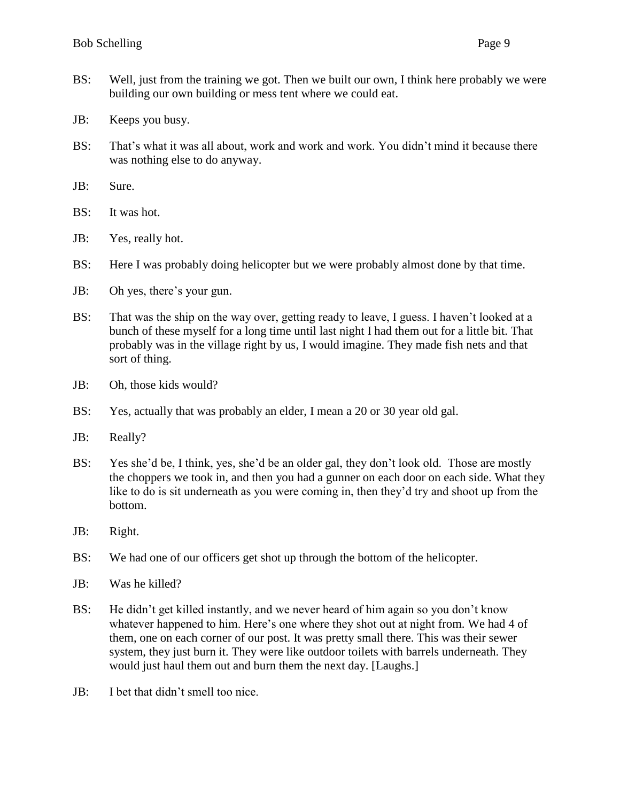- BS: Well, just from the training we got. Then we built our own, I think here probably we were building our own building or mess tent where we could eat.
- JB: Keeps you busy.
- BS: That's what it was all about, work and work and work. You didn't mind it because there was nothing else to do anyway.
- JB: Sure.
- BS: It was hot.
- JB: Yes, really hot.
- BS: Here I was probably doing helicopter but we were probably almost done by that time.
- JB: Oh yes, there's your gun.
- BS: That was the ship on the way over, getting ready to leave, I guess. I haven't looked at a bunch of these myself for a long time until last night I had them out for a little bit. That probably was in the village right by us, I would imagine. They made fish nets and that sort of thing.
- JB: Oh, those kids would?
- BS: Yes, actually that was probably an elder, I mean a 20 or 30 year old gal.
- JB: Really?
- BS: Yes she'd be, I think, yes, she'd be an older gal, they don't look old. Those are mostly the choppers we took in, and then you had a gunner on each door on each side. What they like to do is sit underneath as you were coming in, then they'd try and shoot up from the bottom.
- JB: Right.
- BS: We had one of our officers get shot up through the bottom of the helicopter.
- JB: Was he killed?
- BS: He didn't get killed instantly, and we never heard of him again so you don't know whatever happened to him. Here's one where they shot out at night from. We had 4 of them, one on each corner of our post. It was pretty small there. This was their sewer system, they just burn it. They were like outdoor toilets with barrels underneath. They would just haul them out and burn them the next day. [Laughs.]
- JB: I bet that didn't smell too nice.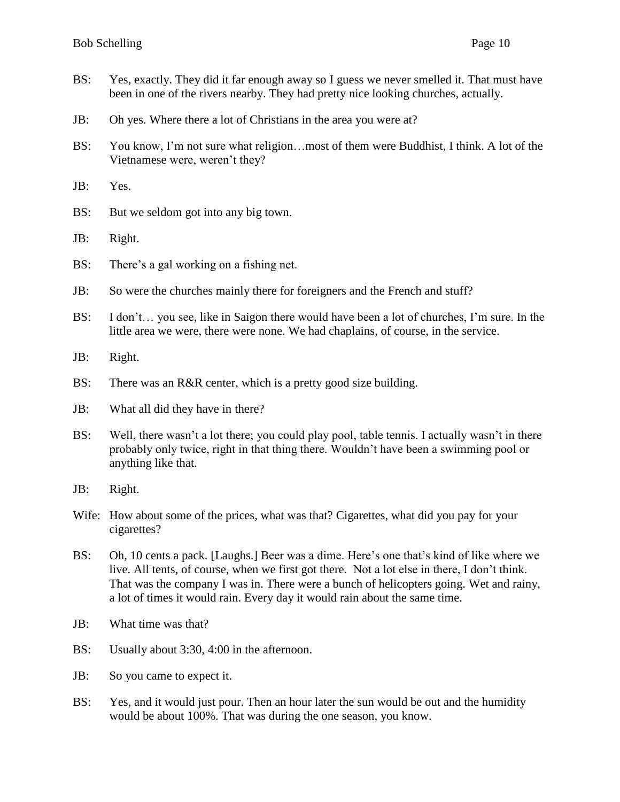- BS: Yes, exactly. They did it far enough away so I guess we never smelled it. That must have been in one of the rivers nearby. They had pretty nice looking churches, actually.
- JB: Oh yes. Where there a lot of Christians in the area you were at?
- BS: You know, I'm not sure what religion…most of them were Buddhist, I think. A lot of the Vietnamese were, weren't they?
- JB: Yes.
- BS: But we seldom got into any big town.
- JB: Right.
- BS: There's a gal working on a fishing net.
- JB: So were the churches mainly there for foreigners and the French and stuff?
- BS: I don't… you see, like in Saigon there would have been a lot of churches, I'm sure. In the little area we were, there were none. We had chaplains, of course, in the service.
- JB: Right.
- BS: There was an R&R center, which is a pretty good size building.
- JB: What all did they have in there?
- BS: Well, there wasn't a lot there; you could play pool, table tennis. I actually wasn't in there probably only twice, right in that thing there. Wouldn't have been a swimming pool or anything like that.
- JB: Right.
- Wife: How about some of the prices, what was that? Cigarettes, what did you pay for your cigarettes?
- BS: Oh, 10 cents a pack. [Laughs.] Beer was a dime. Here's one that's kind of like where we live. All tents, of course, when we first got there. Not a lot else in there, I don't think. That was the company I was in. There were a bunch of helicopters going. Wet and rainy, a lot of times it would rain. Every day it would rain about the same time.
- JB: What time was that?
- BS: Usually about 3:30, 4:00 in the afternoon.
- JB: So you came to expect it.
- BS: Yes, and it would just pour. Then an hour later the sun would be out and the humidity would be about 100%. That was during the one season, you know.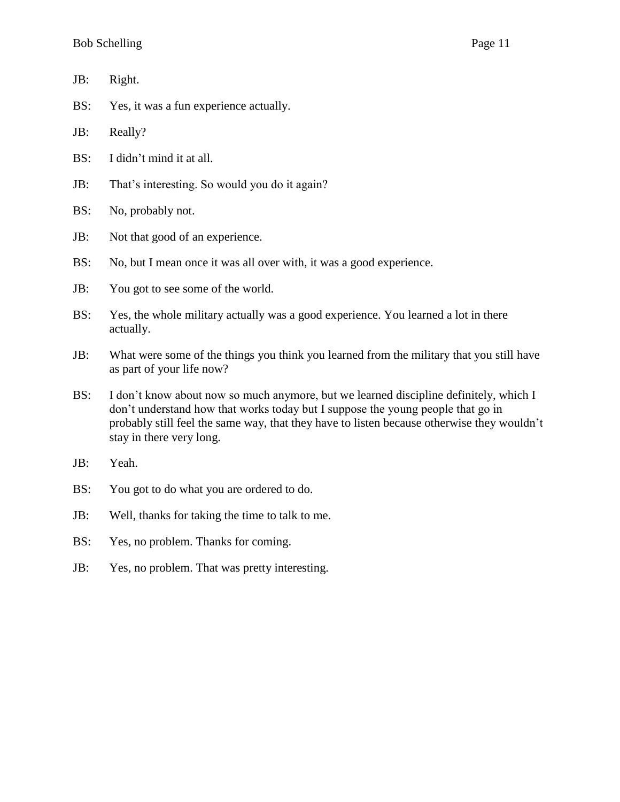- JB: Right.
- BS: Yes, it was a fun experience actually.
- JB: Really?
- BS: I didn't mind it at all.
- JB: That's interesting. So would you do it again?
- BS: No, probably not.
- JB: Not that good of an experience.
- BS: No, but I mean once it was all over with, it was a good experience.
- JB: You got to see some of the world.
- BS: Yes, the whole military actually was a good experience. You learned a lot in there actually.
- JB: What were some of the things you think you learned from the military that you still have as part of your life now?
- BS: I don't know about now so much anymore, but we learned discipline definitely, which I don't understand how that works today but I suppose the young people that go in probably still feel the same way, that they have to listen because otherwise they wouldn't stay in there very long.
- JB: Yeah.
- BS: You got to do what you are ordered to do.
- JB: Well, thanks for taking the time to talk to me.
- BS: Yes, no problem. Thanks for coming.
- JB: Yes, no problem. That was pretty interesting.